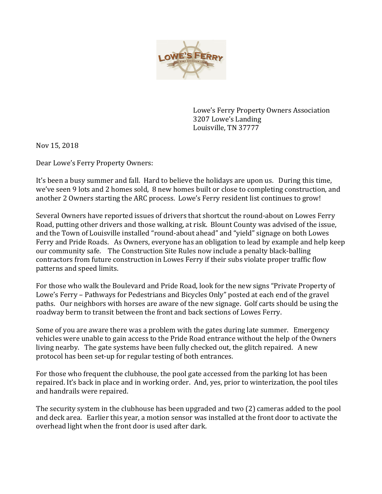

Lowe's Ferry Property Owners Association 3207 Lowe's Landing Louisville, TN 37777

Nov 15, 2018

Dear Lowe's Ferry Property Owners:

It's been a busy summer and fall. Hard to believe the holidays are upon us. During this time, we've seen 9 lots and 2 homes sold, 8 new homes built or close to completing construction, and another 2 Owners starting the ARC process. Lowe's Ferry resident list continues to grow!

Several Owners have reported issues of drivers that shortcut the round-about on Lowes Ferry Road, putting other drivers and those walking, at risk. Blount County was advised of the issue, and the Town of Louisville installed "round-about ahead" and "yield" signage on both Lowes Ferry and Pride Roads. As Owners, everyone has an obligation to lead by example and help keep our community safe. The Construction Site Rules now include a penalty black-balling contractors from future construction in Lowes Ferry if their subs violate proper traffic flow patterns and speed limits.

For those who walk the Boulevard and Pride Road, look for the new signs "Private Property of Lowe's Ferry – Pathways for Pedestrians and Bicycles Only" posted at each end of the gravel paths. Our neighbors with horses are aware of the new signage. Golf carts should be using the roadway berm to transit between the front and back sections of Lowes Ferry.

Some of you are aware there was a problem with the gates during late summer. Emergency vehicles were unable to gain access to the Pride Road entrance without the help of the Owners living nearby. The gate systems have been fully checked out, the glitch repaired. A new protocol has been set-up for regular testing of both entrances.

For those who frequent the clubhouse, the pool gate accessed from the parking lot has been repaired. It's back in place and in working order. And, yes, prior to winterization, the pool tiles and handrails were repaired.

The security system in the clubhouse has been upgraded and two (2) cameras added to the pool and deck area. Earlier this year, a motion sensor was installed at the front door to activate the overhead light when the front door is used after dark.